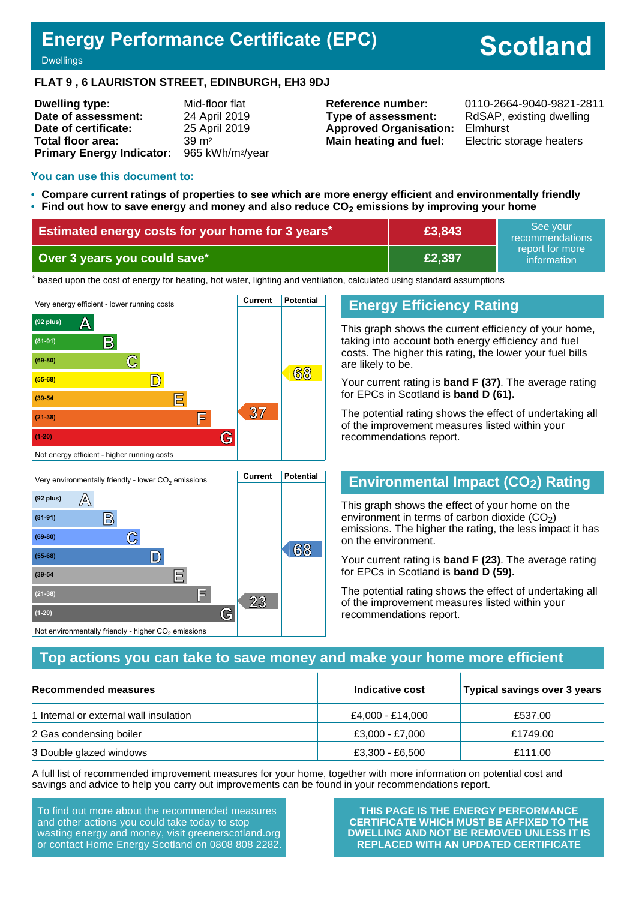## **Energy Performance Certificate (EPC)**

# **Scotland**

**Dwellings** 

#### **FLAT 9 , 6 LAURISTON STREET, EDINBURGH, EH3 9DJ**

| <b>Dwelling type:</b>            | Mid-floor flat               |
|----------------------------------|------------------------------|
| Date of assessment:              | 24 April 2019                |
| Date of certificate:             | 25 April 2019                |
| Total floor area:                | $39 \, \text{m}^2$           |
| <b>Primary Energy Indicator:</b> | 965 kWh/m <sup>2</sup> /year |

**Type of assessment:** RdSAP, existing dwelling **Approved Organisation:** Elmhurst **Main heating and fuel:** Electric storage heaters

**Reference number:** 0110-2664-9040-9821-2811

#### **You can use this document to:**

- **Compare current ratings of properties to see which are more energy efficient and environmentally friendly**
- **Find out how to save energy and money and also reduce CO2 emissions by improving your home**

| Estimated energy costs for your home for 3 years* | £3,843 | 'See vour<br>recommendations                |
|---------------------------------------------------|--------|---------------------------------------------|
| Over 3 years you could save*                      | E2,397 | report for more<br>information <sup>1</sup> |

the based upon the cost of energy for heating, hot water, lighting and ventilation, calculated using standard assumptions



#### **Energy Efficiency Rating**

This graph shows the current efficiency of your home, taking into account both energy efficiency and fuel costs. The higher this rating, the lower your fuel bills are likely to be.

Your current rating is **band F (37)**. The average rating for EPCs in Scotland is **band D (61).**

The potential rating shows the effect of undertaking all of the improvement measures listed within your recommendations report.

## **Environmental Impact (CO2) Rating**

This graph shows the effect of your home on the environment in terms of carbon dioxide  $(CO<sub>2</sub>)$ emissions. The higher the rating, the less impact it has on the environment.

Your current rating is **band F (23)**. The average rating for EPCs in Scotland is **band D (59).**

The potential rating shows the effect of undertaking all of the improvement measures listed within your recommendations report.

#### **Top actions you can take to save money and make your home more efficient**

| <b>Recommended measures</b>            | Indicative cost  | Typical savings over 3 years |
|----------------------------------------|------------------|------------------------------|
| 1 Internal or external wall insulation | £4,000 - £14,000 | £537.00                      |
| 2 Gas condensing boiler                | £3,000 - £7,000  | £1749.00                     |
| 3 Double glazed windows                | £3,300 - £6,500  | £111.00                      |

A full list of recommended improvement measures for your home, together with more information on potential cost and savings and advice to help you carry out improvements can be found in your recommendations report.

To find out more about the recommended measures and other actions you could take today to stop wasting energy and money, visit greenerscotland.org or contact Home Energy Scotland on 0808 808 2282.

**THIS PAGE IS THE ENERGY PERFORMANCE CERTIFICATE WHICH MUST BE AFFIXED TO THE DWELLING AND NOT BE REMOVED UNLESS IT IS REPLACED WITH AN UPDATED CERTIFICATE**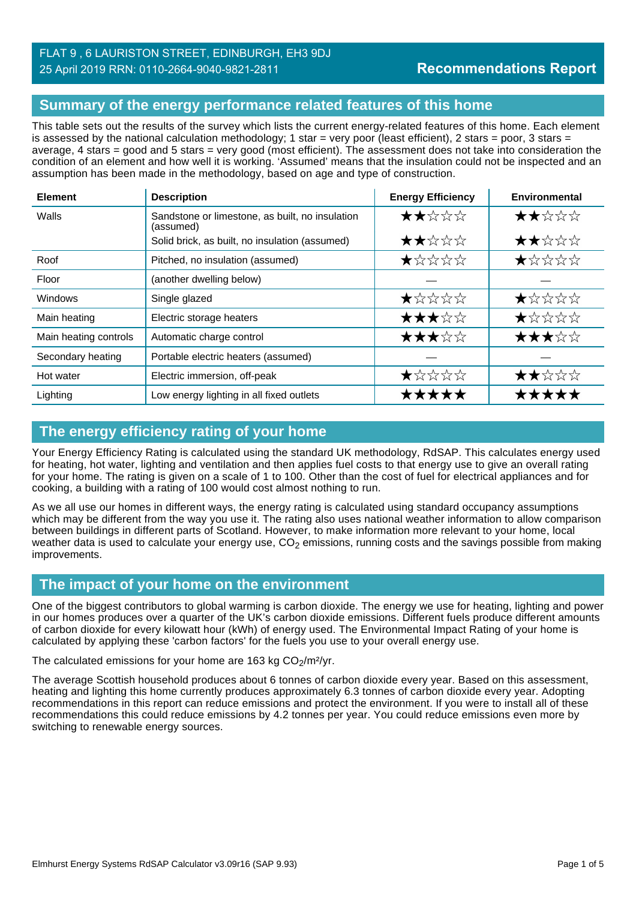## **Summary of the energy performance related features of this home**

This table sets out the results of the survey which lists the current energy-related features of this home. Each element is assessed by the national calculation methodology; 1 star = very poor (least efficient), 2 stars = poor, 3 stars = average, 4 stars = good and 5 stars = very good (most efficient). The assessment does not take into consideration the condition of an element and how well it is working. 'Assumed' means that the insulation could not be inspected and an assumption has been made in the methodology, based on age and type of construction.

| <b>Element</b>        | <b>Description</b>                                           | <b>Energy Efficiency</b> | <b>Environmental</b> |
|-----------------------|--------------------------------------------------------------|--------------------------|----------------------|
| Walls                 | Sandstone or limestone, as built, no insulation<br>(assumed) | ★★☆☆☆                    | ★★☆☆☆                |
|                       | Solid brick, as built, no insulation (assumed)               | ★★☆☆☆                    | ★★☆☆☆                |
| Roof                  | Pitched, no insulation (assumed)                             | ★☆☆☆☆                    | ★☆☆☆☆                |
| Floor                 | (another dwelling below)                                     |                          |                      |
| Windows               | Single glazed                                                | ★☆☆☆☆                    | ★☆☆☆☆                |
| Main heating          | Electric storage heaters                                     | ★★★☆☆                    | *****                |
| Main heating controls | Automatic charge control                                     | ★★★☆☆                    | ★★★☆☆                |
| Secondary heating     | Portable electric heaters (assumed)                          |                          |                      |
| Hot water             | Electric immersion, off-peak                                 | ★☆☆☆☆                    | ★★☆☆☆                |
| Lighting              | Low energy lighting in all fixed outlets                     | *****                    | *****                |

## **The energy efficiency rating of your home**

Your Energy Efficiency Rating is calculated using the standard UK methodology, RdSAP. This calculates energy used for heating, hot water, lighting and ventilation and then applies fuel costs to that energy use to give an overall rating for your home. The rating is given on a scale of 1 to 100. Other than the cost of fuel for electrical appliances and for cooking, a building with a rating of 100 would cost almost nothing to run.

As we all use our homes in different ways, the energy rating is calculated using standard occupancy assumptions which may be different from the way you use it. The rating also uses national weather information to allow comparison between buildings in different parts of Scotland. However, to make information more relevant to your home, local weather data is used to calculate your energy use,  $CO<sub>2</sub>$  emissions, running costs and the savings possible from making improvements.

## **The impact of your home on the environment**

One of the biggest contributors to global warming is carbon dioxide. The energy we use for heating, lighting and power in our homes produces over a quarter of the UK's carbon dioxide emissions. Different fuels produce different amounts of carbon dioxide for every kilowatt hour (kWh) of energy used. The Environmental Impact Rating of your home is calculated by applying these 'carbon factors' for the fuels you use to your overall energy use.

The calculated emissions for your home are 163 kg  $CO<sub>2</sub>/m<sup>2</sup>/yr$ .

The average Scottish household produces about 6 tonnes of carbon dioxide every year. Based on this assessment, heating and lighting this home currently produces approximately 6.3 tonnes of carbon dioxide every year. Adopting recommendations in this report can reduce emissions and protect the environment. If you were to install all of these recommendations this could reduce emissions by 4.2 tonnes per year. You could reduce emissions even more by switching to renewable energy sources.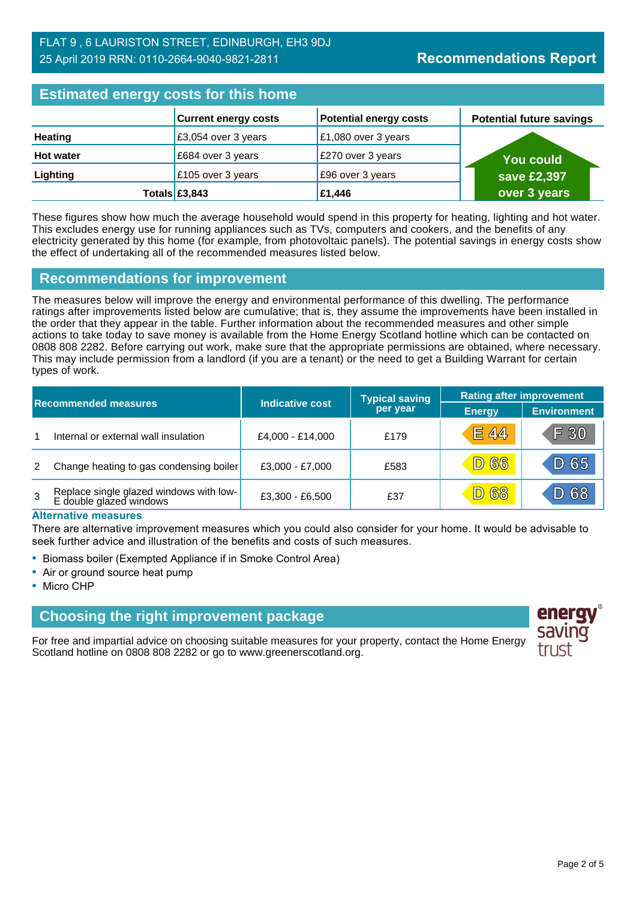| <b>Estimated energy costs for this home</b> |                             |                               |                                 |  |
|---------------------------------------------|-----------------------------|-------------------------------|---------------------------------|--|
|                                             | <b>Current energy costs</b> | <b>Potential energy costs</b> | <b>Potential future savings</b> |  |
| <b>Heating</b>                              | £3,054 over 3 years         | £1,080 over 3 years           |                                 |  |
| <b>Hot water</b>                            | £684 over 3 years           | £270 over 3 years             | <b>You could</b>                |  |
| Lighting                                    | £105 over 3 years           | £96 over 3 years              | save £2,397                     |  |
|                                             | Totals $£3,843$             | £1,446                        | over 3 years                    |  |

These figures show how much the average household would spend in this property for heating, lighting and hot water. This excludes energy use for running appliances such as TVs, computers and cookers, and the benefits of any electricity generated by this home (for example, from photovoltaic panels). The potential savings in energy costs show the effect of undertaking all of the recommended measures listed below.

#### **Recommendations for improvement**

The measures below will improve the energy and environmental performance of this dwelling. The performance ratings after improvements listed below are cumulative; that is, they assume the improvements have been installed in the order that they appear in the table. Further information about the recommended measures and other simple actions to take today to save money is available from the Home Energy Scotland hotline which can be contacted on 0808 808 2282. Before carrying out work, make sure that the appropriate permissions are obtained, where necessary. This may include permission from a landlord (if you are a tenant) or the need to get a Building Warrant for certain types of work.

| <b>Recommended measures</b> |                                                                    |                  | <b>Typical saving</b> | <b>Rating after improvement</b> |                    |
|-----------------------------|--------------------------------------------------------------------|------------------|-----------------------|---------------------------------|--------------------|
|                             |                                                                    | Indicative cost  | per year              | <b>Energy</b>                   | <b>Environment</b> |
|                             | Internal or external wall insulation                               | £4,000 - £14,000 | £179                  | <b>E 44</b>                     | F 30               |
| 2                           | Change heating to gas condensing boiler                            | £3,000 - £7,000  | £583                  | <b>D 66</b>                     | D 65               |
| $\mathbf{3}$                | Replace single glazed windows with low-<br>E double glazed windows | £3,300 - £6,500  | £37                   | <b>D 68</b>                     | D 68               |

#### **Alternative measures**

There are alternative improvement measures which you could also consider for your home. It would be advisable to seek further advice and illustration of the benefits and costs of such measures.

- Biomass boiler (Exempted Appliance if in Smoke Control Area)
- Air or ground source heat pump
- Micro CHP

## **Choosing the right improvement package**

For free and impartial advice on choosing suitable measures for your property, contact the Home Energy Scotland hotline on 0808 808 2282 or go to www.greenerscotland.org.

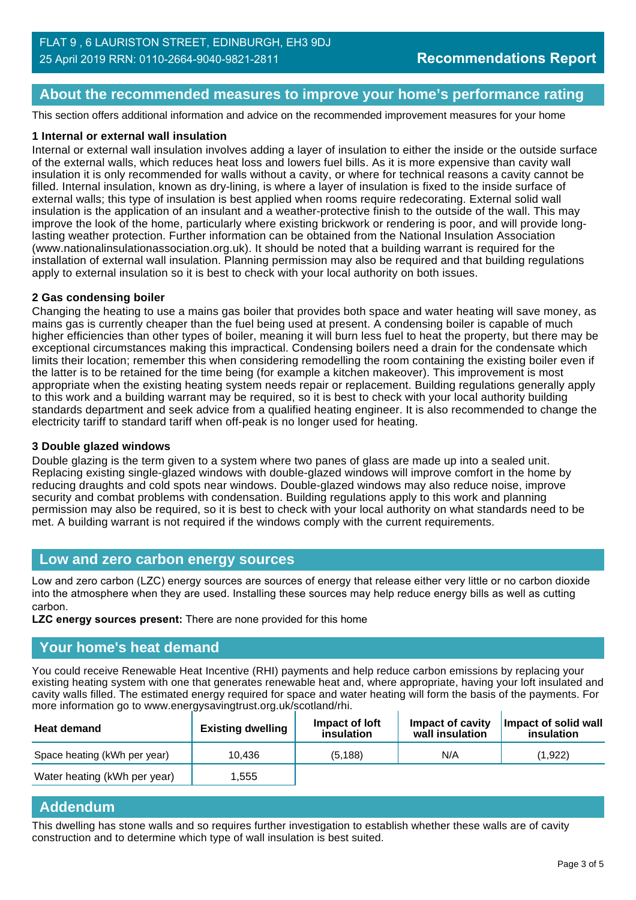## **About the recommended measures to improve your home's performance rating**

This section offers additional information and advice on the recommended improvement measures for your home

#### **1 Internal or external wall insulation**

Internal or external wall insulation involves adding a layer of insulation to either the inside or the outside surface of the external walls, which reduces heat loss and lowers fuel bills. As it is more expensive than cavity wall insulation it is only recommended for walls without a cavity, or where for technical reasons a cavity cannot be filled. Internal insulation, known as dry-lining, is where a layer of insulation is fixed to the inside surface of external walls; this type of insulation is best applied when rooms require redecorating. External solid wall insulation is the application of an insulant and a weather-protective finish to the outside of the wall. This may improve the look of the home, particularly where existing brickwork or rendering is poor, and will provide longlasting weather protection. Further information can be obtained from the National Insulation Association (www.nationalinsulationassociation.org.uk). It should be noted that a building warrant is required for the installation of external wall insulation. Planning permission may also be required and that building regulations apply to external insulation so it is best to check with your local authority on both issues.

#### **2 Gas condensing boiler**

Changing the heating to use a mains gas boiler that provides both space and water heating will save money, as mains gas is currently cheaper than the fuel being used at present. A condensing boiler is capable of much higher efficiencies than other types of boiler, meaning it will burn less fuel to heat the property, but there may be exceptional circumstances making this impractical. Condensing boilers need a drain for the condensate which limits their location; remember this when considering remodelling the room containing the existing boiler even if the latter is to be retained for the time being (for example a kitchen makeover). This improvement is most appropriate when the existing heating system needs repair or replacement. Building regulations generally apply to this work and a building warrant may be required, so it is best to check with your local authority building standards department and seek advice from a qualified heating engineer. It is also recommended to change the electricity tariff to standard tariff when off-peak is no longer used for heating.

#### **3 Double glazed windows**

Double glazing is the term given to a system where two panes of glass are made up into a sealed unit. Replacing existing single-glazed windows with double-glazed windows will improve comfort in the home by reducing draughts and cold spots near windows. Double-glazed windows may also reduce noise, improve security and combat problems with condensation. Building regulations apply to this work and planning permission may also be required, so it is best to check with your local authority on what standards need to be met. A building warrant is not required if the windows comply with the current requirements.

#### **Low and zero carbon energy sources**

Low and zero carbon (LZC) energy sources are sources of energy that release either very little or no carbon dioxide into the atmosphere when they are used. Installing these sources may help reduce energy bills as well as cutting carbon.

**LZC energy sources present:** There are none provided for this home

#### **Your home's heat demand**

You could receive Renewable Heat Incentive (RHI) payments and help reduce carbon emissions by replacing your existing heating system with one that generates renewable heat and, where appropriate, having your loft insulated and cavity walls filled. The estimated energy required for space and water heating will form the basis of the payments. For more information go to www.energysavingtrust.org.uk/scotland/rhi.

| <b>Heat demand</b>           | <b>Existing dwelling</b> | Impact of Joft<br>insulation | Impact of cavity<br>wall insulation | Impact of solid wall<br>insulation |
|------------------------------|--------------------------|------------------------------|-------------------------------------|------------------------------------|
| Space heating (kWh per year) | 10.436                   | (5.188)                      | N/A                                 | (1,922)                            |
| Water heating (kWh per year) | .555                     |                              |                                     |                                    |

#### **Addendum**

This dwelling has stone walls and so requires further investigation to establish whether these walls are of cavity construction and to determine which type of wall insulation is best suited.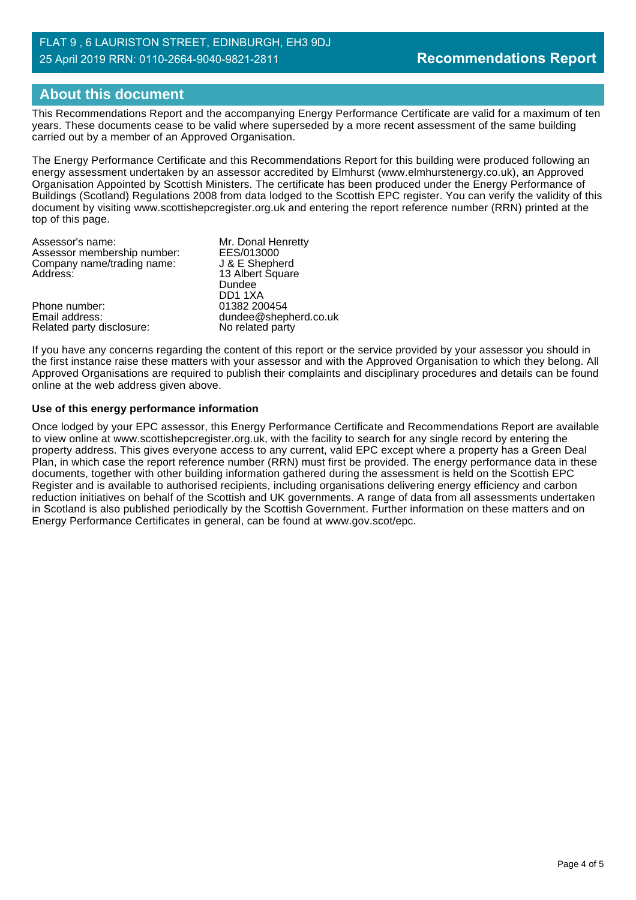## **About this document**

This Recommendations Report and the accompanying Energy Performance Certificate are valid for a maximum of ten years. These documents cease to be valid where superseded by a more recent assessment of the same building carried out by a member of an Approved Organisation.

The Energy Performance Certificate and this Recommendations Report for this building were produced following an energy assessment undertaken by an assessor accredited by Elmhurst (www.elmhurstenergy.co.uk), an Approved Organisation Appointed by Scottish Ministers. The certificate has been produced under the Energy Performance of Buildings (Scotland) Regulations 2008 from data lodged to the Scottish EPC register. You can verify the validity of this document by visiting www.scottishepcregister.org.uk and entering the report reference number (RRN) printed at the top of this page.

| Assessor's name:            | Mr. Donal Henretty    |
|-----------------------------|-----------------------|
| Assessor membership number: | EES/013000            |
| Company name/trading name:  | J & E Shepherd        |
| Address:                    | 13 Albert Square      |
|                             | Dundee                |
|                             | DD11XA                |
| Phone number:               | 01382 200454          |
| Email address:              | dundee@shepherd.co.uk |
| Related party disclosure:   | No related party      |

If you have any concerns regarding the content of this report or the service provided by your assessor you should in the first instance raise these matters with your assessor and with the Approved Organisation to which they belong. All Approved Organisations are required to publish their complaints and disciplinary procedures and details can be found online at the web address given above.

#### **Use of this energy performance information**

Once lodged by your EPC assessor, this Energy Performance Certificate and Recommendations Report are available to view online at www.scottishepcregister.org.uk, with the facility to search for any single record by entering the property address. This gives everyone access to any current, valid EPC except where a property has a Green Deal Plan, in which case the report reference number (RRN) must first be provided. The energy performance data in these documents, together with other building information gathered during the assessment is held on the Scottish EPC Register and is available to authorised recipients, including organisations delivering energy efficiency and carbon reduction initiatives on behalf of the Scottish and UK governments. A range of data from all assessments undertaken in Scotland is also published periodically by the Scottish Government. Further information on these matters and on Energy Performance Certificates in general, can be found at www.gov.scot/epc.